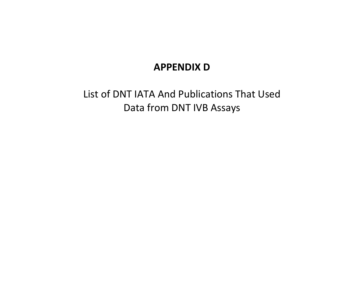## **APPENDIX D**

List of DNT IATA And Publications That Used Data from DNT IVB Assays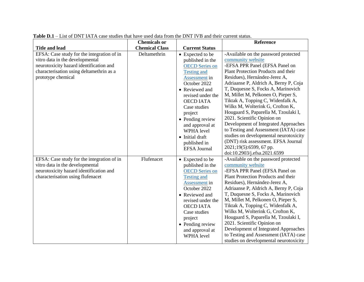|                                                                                                                                                                                            | <b>Chemicals or</b>   |                                                                                                                                                                                                                                                                                                                                         | <b>Reference</b>                                                                                                                                                                                                                                                                                                                                                                                                                                                                                                                                                                                                                                                      |
|--------------------------------------------------------------------------------------------------------------------------------------------------------------------------------------------|-----------------------|-----------------------------------------------------------------------------------------------------------------------------------------------------------------------------------------------------------------------------------------------------------------------------------------------------------------------------------------|-----------------------------------------------------------------------------------------------------------------------------------------------------------------------------------------------------------------------------------------------------------------------------------------------------------------------------------------------------------------------------------------------------------------------------------------------------------------------------------------------------------------------------------------------------------------------------------------------------------------------------------------------------------------------|
| <b>Title and lead</b>                                                                                                                                                                      | <b>Chemical Class</b> | <b>Current Status</b>                                                                                                                                                                                                                                                                                                                   |                                                                                                                                                                                                                                                                                                                                                                                                                                                                                                                                                                                                                                                                       |
| EFSA: Case study for the integration of in<br>vitro data in the developmental<br>neurotoxicity hazard identification and<br>characterisation using deltamethrin as a<br>prototype chemical | Deltamethrin          | • Expected to be<br>published in the<br><b>OECD</b> Series on<br><b>Testing and</b><br><b>Assessment</b> in<br>October 2022<br>• Reviewed and<br>revised under the<br><b>OECD IATA</b><br>Case studies<br>project<br>• Pending review<br>and approval at<br><b>WPHA</b> level<br>• Initial draft<br>published in<br><b>EFSA Journal</b> | -Available on the password protected<br>community website<br>-EFSA PPR Panel (EFSA Panel on<br>Plant Protection Products and their<br>Residues), Hernández-Jerez A,<br>Adriaanse P, Aldrich A, Berny P, Coja<br>T, Duquesne S, Focks A, Marinovich<br>M, Millet M, Pelkonen O, Pieper S,<br>Tiktak A, Topping C, Widenfalk A,<br>Wilks M, Wolterink G, Crofton K,<br>Hougaard S, Paparella M, Tzoulaki I,<br>2021. Scientific Opinion on<br>Development of Integrated Approaches<br>to Testing and Assessment (IATA) case<br>studies on developmental neurotoxicity<br>(DNT) risk assessment. EFSA Journal<br>2021;19(5):6599, 67 pp.<br>doi:10.2903/j.efsa.2021.6599 |
| EFSA: Case study for the integration of in<br>vitro data in the developmental<br>neurotoxicity hazard identification and<br>characterisation using flufenacet                              | Flufenacet            | • Expected to be<br>published in the<br><b>OECD</b> Series on<br><b>Testing and</b><br>Assessment in<br>October 2022<br>• Reviewed and<br>revised under the<br><b>OECD IATA</b><br>Case studies<br>project<br>• Pending review<br>and approval at<br><b>WPHA</b> level                                                                  | -Available on the password protected<br>community website<br>-EFSA PPR Panel (EFSA Panel on<br>Plant Protection Products and their<br>Residues), Hernández-Jerez A,<br>Adriaanse P, Aldrich A, Berny P, Coja<br>T, Duquesne S, Focks A, Marinovich<br>M, Millet M, Pelkonen O, Pieper S,<br>Tiktak A, Topping C, Widenfalk A,<br>Wilks M, Wolterink G, Crofton K,<br>Hougaard S, Paparella M, Tzoulaki I,<br>2021. Scientific Opinion on<br>Development of Integrated Approaches<br>to Testing and Assessment (IATA) case<br>studies on developmental neurotoxicity                                                                                                   |

**Table D.1** – List of DNT IATA case studies that have used data from the DNT IVB and their current status.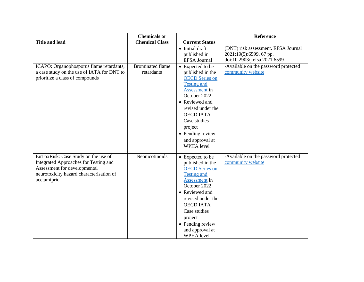|                                                                                                                                                                         | <b>Chemicals or</b>                   |                                                                                                                                                                                                                                                                        | <b>Reference</b>                                                                               |
|-------------------------------------------------------------------------------------------------------------------------------------------------------------------------|---------------------------------------|------------------------------------------------------------------------------------------------------------------------------------------------------------------------------------------------------------------------------------------------------------------------|------------------------------------------------------------------------------------------------|
| <b>Title and lead</b>                                                                                                                                                   | <b>Chemical Class</b>                 | <b>Current Status</b>                                                                                                                                                                                                                                                  |                                                                                                |
|                                                                                                                                                                         |                                       | • Initial draft<br>published in<br><b>EFSA</b> Journal                                                                                                                                                                                                                 | (DNT) risk assessment. EFSA Journal<br>2021;19(5):6599, 67 pp.<br>doi:10.2903/j.efsa.2021.6599 |
| ICAPO: Organophosporus flame retardants,<br>a case study on the use of IATA for DNT to<br>prioritize a class of compounds                                               | <b>Brominated flame</b><br>retardants | • Expected to be<br>published in the<br><b>OECD</b> Series on<br><b>Testing and</b><br>Assessment in<br>October 2022<br>• Reviewed and<br>revised under the<br><b>OECD IATA</b><br>Case studies<br>project<br>• Pending review<br>and approval at<br><b>WPHA</b> level | -Available on the password protected<br>community website                                      |
| EuToxRisk: Case Study on the use of<br>Integrated Approaches for Testing and<br>Assessment for developmental<br>neurotoxicity hazard characterisation of<br>acetamiprid | Neonicotinoids                        | • Expected to be<br>published in the<br><b>OECD</b> Series on<br><b>Testing and</b><br>Assessment in<br>October 2022<br>• Reviewed and<br>revised under the<br><b>OECD IATA</b><br>Case studies<br>project<br>• Pending review<br>and approval at<br>WPHA level        | -Available on the password protected<br>community website                                      |